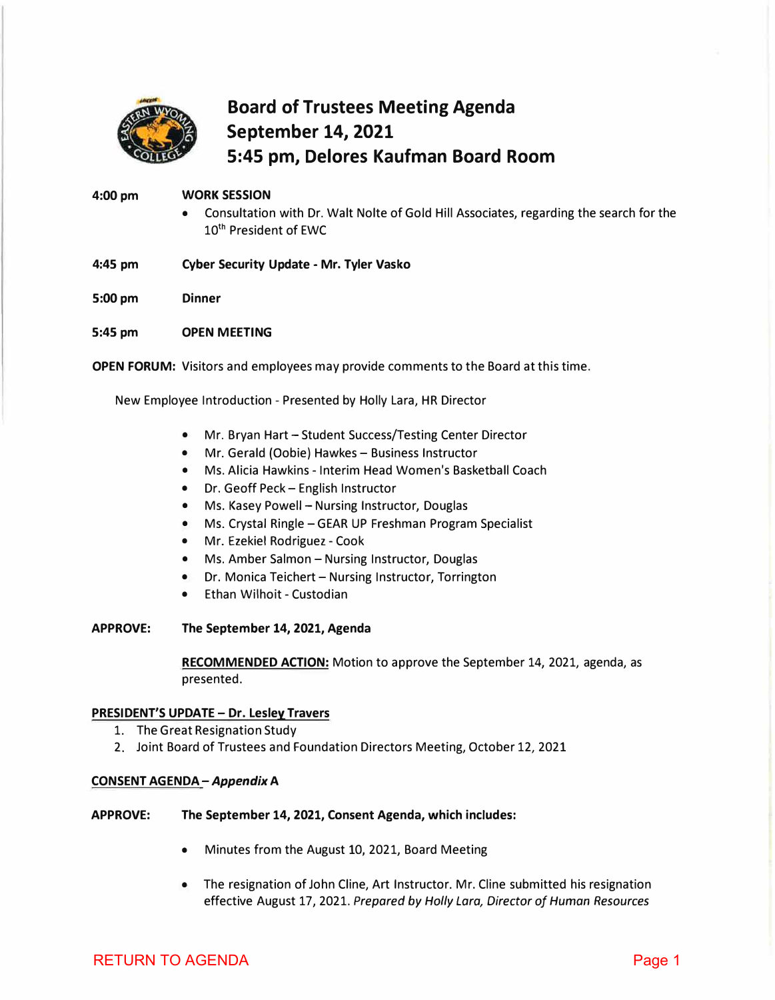<span id="page-0-0"></span>

# **Board of Trustees Meeting Agenda September 14, 2021 5:45 pm, Delores Kaufman Board Room**

#### **4:00pm WORK SESSION**

- Consultation with Dr. Walt Nolte of Gold Hill Associates, regarding the search for the 10<sup>th</sup> President of EWC
- **4:45 pm Cyber Security Update - Mr. Tyler Vasko**

**5:00pm Dinner** 

**5:45 pm OPEN MEETING** 

**OPEN FORUM:** Visitors and employees may provide comments to the Board at this time.

New Employee Introduction - Presented by Holly Lara, HR Director

- Mr. Bryan Hart Student Success/Testing Center Director
- Mr. Gerald (Oobie) Hawkes Business Instructor
- Ms. Alicia Hawkins Interim Head Women's Basketball Coach
- Dr. Geoff Peck English Instructor
- Ms. Kasey Powell Nursing Instructor, Douglas
- Ms. Crystal Ringle GEAR UP Freshman Program Specialist
- Mr. Ezekiel Rodriguez Cook
- Ms. Amber Salmon Nursing Instructor, Douglas
- Dr. Monica Teichert Nursing Instructor, Torrington
- Ethan Wilhoit Custodian

# **APPROVE: The September 14, 2021, Agenda**

**RECOMMENDED ACTION:** Motion to approve the September 14, 2021, agenda, as presented.

# **PRESIDENT'S UPDATE - Dr. Lesley Travers**

- 1. The Great Resignation Study
- 2. Joint Board of Trustees and Foundation Directors Meeting, October 12, 2021

# **CONSENT AGENDA** *-Appendix* **A**

- APPROVE: The September 14, 2021, Consent Agenda, which includes:
	- Minutes from the August 10, 2021, Board Meeting
	- The resignation of John Cline, Art Instructor. Mr. Cline submitted his resignation effective August 17, 2021. *Prepared by Holly Lara, Director of Human Resources*